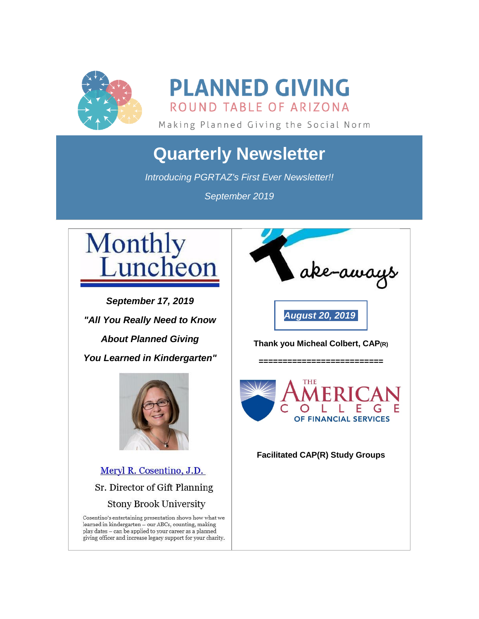

**PLANNED GIVING** ROUND TABLE OF ARIZONA

Making Planned Giving the Social Norm

# **Quarterly Newsletter**

*Introducing PGRTAZ's First Ever Newsletter!!*

*September 2019*



*September 17, 2019 "All You Really Need to Know About Planned Giving You Learned in Kindergarten"*



Meryl R. Cosentino, J.D. Sr. Director of Gift Planning **Stony Brook University** 

Cosentino's entertaining presentation shows how what we learned in kindergarten – our ABCs, counting, making<br>play dates – can be applied to your career as a planned giving officer and increase legacy support for your charity.



**Thank you Micheal Colbert, CAP(R)**

*==========================*

*[August](https://pgrtaz.org/EmailTracker/LinkTracker.ashx?linkAndRecipientCode=IIXNKpse%2baISKXeRtQZNh4i4nDE445qijgDrh0gsLzHl7fN2lf4Qyr%2bsTTwkKa5nY8flX3iGL%2f6rMQq%2bSAZod6a4n%2f5ZgimelJnuBKg8%2bxU%3d) 20, 2019*



## **Facilitated CAP(R) Study Groups**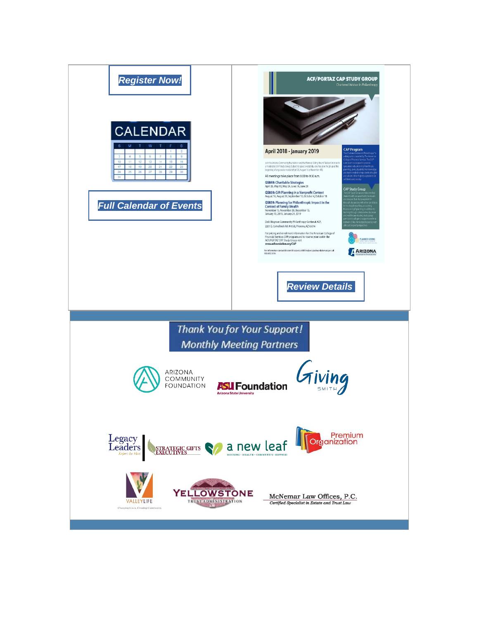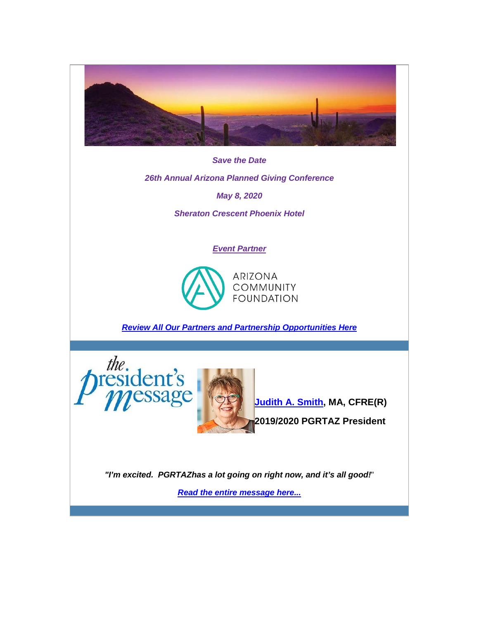

*Save the Date*

*26th Annual Arizona Planned Giving Conference*

*May 8, 2020*

*Sheraton Crescent Phoenix Hotel*

### *Event Partner*



*[Review All Our Partners and Partnership Opportunities Here](https://pgrtaz.org/EmailTracker/LinkTracker.ashx?linkAndRecipientCode=Eu54zZDPGdisf7NNjPd86NBTXIAtUxpNxjNg1c78Nsy3d7huOB2qP%2beJZnTRTo6Sq%2fbFceHIp6MtGlaChanvTbQ1uXEAU1VNrV7AYeVomRY%3d)*





*"I'm excited. PGRTAZhas a lot going on right now, and it's all good!*"

*[Read the entire message here...](https://pgrtaz.org/EmailTracker/LinkTracker.ashx?linkAndRecipientCode=ySa6H4ixb02ogOwKWbfs%2fFZHclbOjeWD%2bRvO49sUpNm7z%2b9V6ZZj6IjGWTOllV4g0T7G8bXJEMXPfIRgR5wi%2f2%2f02%2fb7zZDJGs6ffFfu3r4%3d)*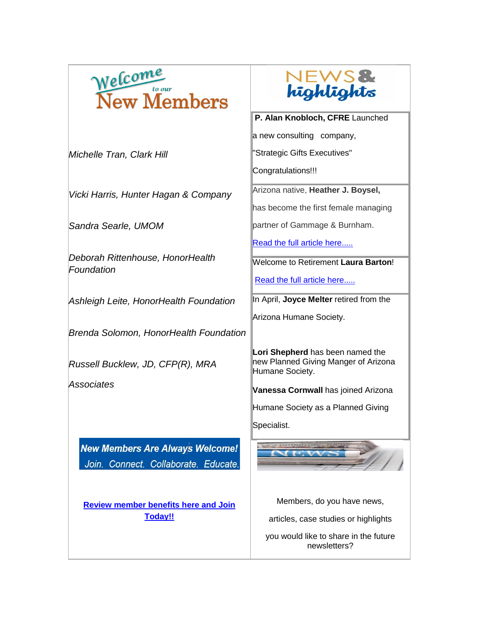

*Michelle Tran, Clark Hill*

*Vicki Harris, Hunter Hagan & Company*

*Sandra Searle, UMOM*

*Deborah Rittenhouse, HonorHealth Foundation*

*Ashleigh Leite, HonorHealth Foundation*

*Brenda Solomon, HonorHealth Foundation*

*Russell Bucklew, JD, CFP(R), MRA*

*Associates*

**New Members Are Always Welcome!** Join. Connect. Collaborate. Educate.

**[Review member benefits here and](https://pgrtaz.org/EmailTracker/LinkTracker.ashx?linkAndRecipientCode=wHarkDYmp20Zg8U7PxPcR5uPFxP7xtuwUGFOKyxwOQEjz2CO0ivXs9dDw7dTzio1LU683LgzW848tiI4eEyKKPQQAloumzQyfTpVvr7wcsQ%3d) Join [Today!!](https://pgrtaz.org/EmailTracker/LinkTracker.ashx?linkAndRecipientCode=wHarkDYmp20Zg8U7PxPcR5uPFxP7xtuwUGFOKyxwOQEjz2CO0ivXs9dDw7dTzio1LU683LgzW848tiI4eEyKKPQQAloumzQyfTpVvr7wcsQ%3d)**



#### **P. Alan Knobloch, CFRE** Launched

a new consulting company,

"Strategic Gifts Executives"

Congratulations!!!

Arizona native, **Heather J. Boysel,**

has become the first female managing

partner of Gammage & Burnham.

[Read the full article here.....](https://pgrtaz.org/EmailTracker/LinkTracker.ashx?linkAndRecipientCode=URxrOtHAH6QbRhLWqow7Aynwx3FUXUv0uPKKh52nLZ1RmO28q4mrXA7%2b7H73LObH%2bL1vcn9b%2bitIihbO%2fAQ%2fYIlHaze6j7wCs2IJFaSyMhs%3d)

Welcome to Retirement **Laura Barton**!

[Read the full article here.....](https://pgrtaz.org/EmailTracker/LinkTracker.ashx?linkAndRecipientCode=ANluCKnJEBihK5nq7q3J%2f0UuhqVw1H5Q%2fYL6AUS4sRE8H9rM69nwAeOVJTOtvW8Foz1EhU7lpxcC2rBTPEepXMuRY0o9Ir38aCY%2bUry%2fjTk%3d)

In April, **Joyce Melter** retired from the

Arizona Humane Society.

**Lori Shepherd** has been named the new Planned Giving Manger of Arizona Humane Society.

**Vanessa Cornwall** has joined Arizona

Humane Society as a Planned Giving

Specialist.



Members, do you have news,

articles, case studies or highlights

you would like to share in the future newsletters?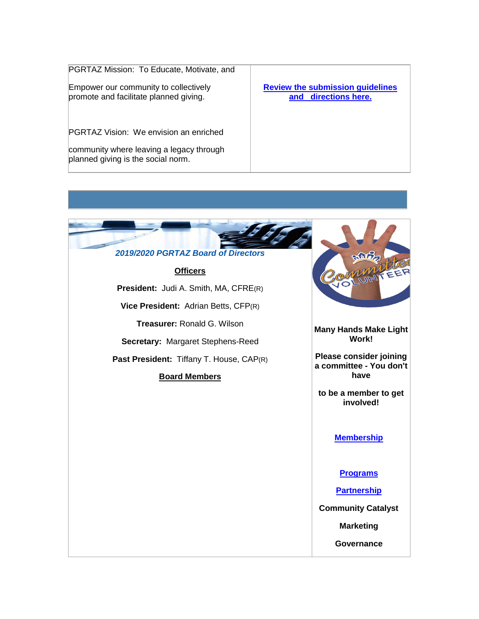PGRTAZ Mission: To Educate, Motivate, and

Empower our community to collectively promote and facilitate planned giving.

PGRTAZ Vision: We envision an enriched

community where leaving a legacy through planned giving is the social norm.

#### **[Review the submission guidelines](https://pgrtaz.org/EmailTracker/LinkTracker.ashx?linkAndRecipientCode=%2ff69rpsaPyJTZp9Iq%2bc%2fV%2bhoxPtwNc9Hb9jtjcj1BV64plue44x0ScYxYh%2bWuM4fEZUPlgbKJPzzkUFBYZM53ReXySf%2b8RsCCRsvSbmlbB4%3d)  and [directions here.](https://pgrtaz.org/EmailTracker/LinkTracker.ashx?linkAndRecipientCode=%2ff69rpsaPyJTZp9Iq%2bc%2fV%2bhoxPtwNc9Hb9jtjcj1BV64plue44x0ScYxYh%2bWuM4fEZUPlgbKJPzzkUFBYZM53ReXySf%2b8RsCCRsvSbmlbB4%3d)**